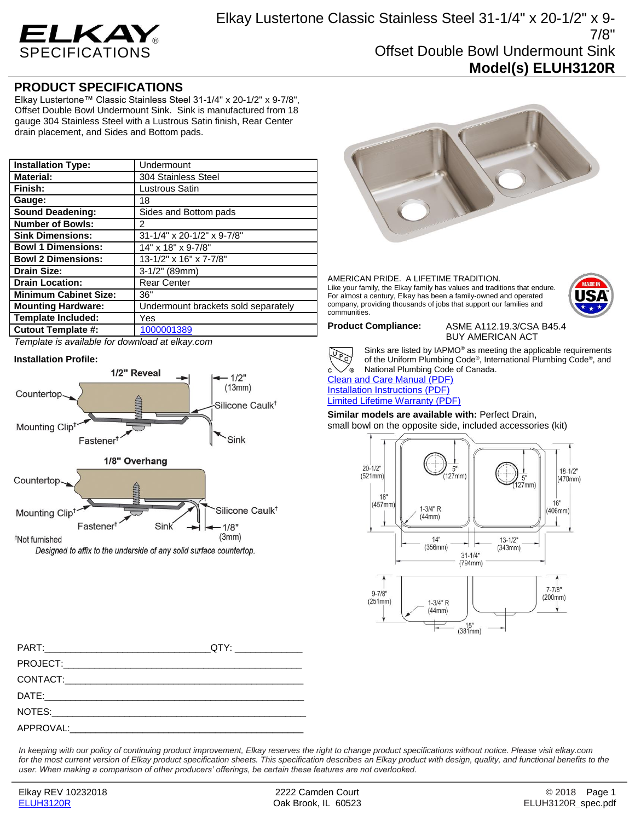

## **PRODUCT SPECIFICATIONS**

Elkay Lustertone™ Classic Stainless Steel 31-1/4" x 20-1/2" x 9-7/8", Offset Double Bowl Undermount Sink. Sink is manufactured from 18 gauge 304 Stainless Steel with a Lustrous Satin finish, Rear Center drain placement, and Sides and Bottom pads.

| <b>Installation Type:</b>    | Undermount                          |
|------------------------------|-------------------------------------|
| <b>Material:</b>             | 304 Stainless Steel                 |
| Finish:                      | Lustrous Satin                      |
| Gauge:                       | 18                                  |
| <b>Sound Deadening:</b>      | Sides and Bottom pads               |
| <b>Number of Bowls:</b>      | 2                                   |
| <b>Sink Dimensions:</b>      | 31-1/4" x 20-1/2" x 9-7/8"          |
| <b>Bowl 1 Dimensions:</b>    | 14" x 18" x 9-7/8"                  |
| <b>Bowl 2 Dimensions:</b>    | 13-1/2" x 16" x 7-7/8"              |
| <b>Drain Size:</b>           | $3-1/2"$ (89mm)                     |
| <b>Drain Location:</b>       | <b>Rear Center</b>                  |
| <b>Minimum Cabinet Size:</b> | 36"                                 |
| <b>Mounting Hardware:</b>    | Undermount brackets sold separately |
| <b>Template Included:</b>    | Yes                                 |
| <b>Cutout Template #:</b>    | 1000001389                          |

*Template is available for download at elkay.com*

### **Installation Profile:**



Designed to affix to the underside of any solid surface countertop.



# AMERICAN PRIDE. A LIFETIME TRADITION.

Like your family, the Elkay family has values and traditions that endure. For almost a century, Elkay has been a family-owned and operated company, providing thousands of jobs that support our families and communities.



Sinks are listed by IAPMO® as meeting the applicable requirements of the Uniform Plumbing Code® , International Plumbing Code® , and National Plumbing Code of Canada. This are listed by IAPM<br>of the Uniform Plumbing<br>[Clean and Care Manual \(PDF\)](http://www.elkay.com/wcsstore/lkdocs/care-cleaning-install-warranty-sheets/residential%20and%20commercial%20care%20%20cleaning.pdf)

[Installation Instructions \(PDF\)](http://www.elkay.com/wcsstore/lkdocs/care-cleaning-install-warranty-sheets/1000002045.pdf) [Limited Lifetime Warranty](http://www.elkay.com/wcsstore/lkdocs/care-cleaning-install-warranty-sheets/residential%20sinks%20warranty.pdf) (PDF)

**Similar models are available with:** Perfect Drain, small bowl on the opposite side, included accessories (kit)



PART:\_\_\_\_\_\_\_\_\_\_\_\_\_\_\_\_\_\_\_\_\_\_\_\_\_\_\_\_\_\_\_\_QTY: \_\_\_\_\_\_\_\_\_\_\_\_\_ PROJECT: CONTACT: DATE:\_\_\_\_\_\_\_\_\_\_\_\_\_\_\_\_\_\_\_\_\_\_\_\_\_\_\_\_\_\_\_\_\_\_\_\_\_\_\_\_\_\_\_\_\_\_\_\_\_\_ NOTES: APPROVAL:

*In keeping with our policy of continuing product improvement, Elkay reserves the right to change product specifications without notice. Please visit elkay.com*  for the most current version of Elkay product specification sheets. This specification describes an Elkay product with design, quality, and functional benefits to the *user. When making a comparison of other producers' offerings, be certain these features are not overlooked.*